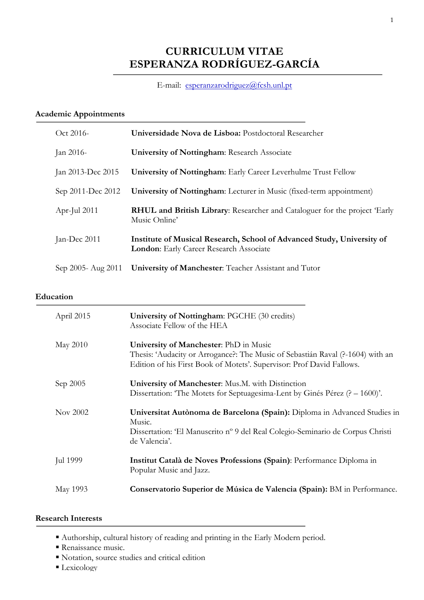# **CURRICULUM VITAE ESPERANZA RODRÍGUEZ-GARCÍA**

# E-mail: esperanzarodriguez@fcsh.unl.pt

# **Academic Appointments**

| Oct 2016-          | Universidade Nova de Lisboa: Postdoctoral Researcher                                                                     |
|--------------------|--------------------------------------------------------------------------------------------------------------------------|
| Jan 2016-          | <b>University of Nottingham: Research Associate</b>                                                                      |
| Jan 2013-Dec 2015  | <b>University of Nottingham:</b> Early Career Leverhulme Trust Fellow                                                    |
| Sep 2011-Dec 2012  | University of Nottingham: Lecturer in Music (fixed-term appointment)                                                     |
| Apr-Jul 2011       | <b>RHUL and British Library:</b> Researcher and Cataloguer for the project 'Early<br>Music Online'                       |
| Jan-Dec 2011       | Institute of Musical Research, School of Advanced Study, University of<br><b>London:</b> Early Career Research Associate |
| Sep 2005- Aug 2011 | University of Manchester: Teacher Assistant and Tutor                                                                    |

### **Education**

| April 2015 | University of Nottingham: PGCHE (30 credits)<br>Associate Fellow of the HEA                                                                                                                       |
|------------|---------------------------------------------------------------------------------------------------------------------------------------------------------------------------------------------------|
| May 2010   | University of Manchester: PhD in Music<br>Thesis: 'Audacity or Arrogance?: The Music of Sebastián Raval (?-1604) with an<br>Edition of his First Book of Motets'. Supervisor: Prof David Fallows. |
| Sep 2005   | University of Manchester: Mus.M. with Distinction<br>Dissertation: The Motets for Septuagesima-Lent by Ginés Pérez $(? - 1600)$ .                                                                 |
| Nov 2002   | Universitat Autònoma de Barcelona (Spain): Diploma in Advanced Studies in<br>Music.<br>Dissertation: 'El Manuscrito nº 9 del Real Colegio-Seminario de Corpus Christi<br>de Valencia'.            |
| Jul 1999   | Institut Català de Noves Professions (Spain): Performance Diploma in<br>Popular Music and Jazz.                                                                                                   |
| May 1993   | Conservatorio Superior de Música de Valencia (Spain): BM in Performance.                                                                                                                          |

# **Research Interests**

- ! Authorship, cultural history of reading and printing in the Early Modern period.
- Renaissance music.
- ! Notation, source studies and critical edition
- **Lexicology**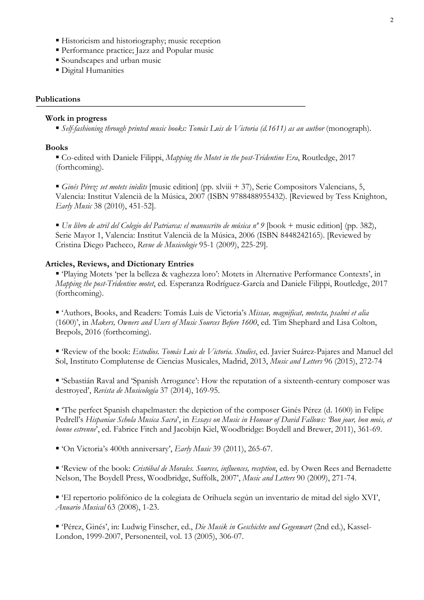- ! Historicism and historiography; music reception
- ! Performance practice; Jazz and Popular music
- ! Soundscapes and urban music
- ! Digital Humanities

### **Publications**

#### **Work in progress**

! *Self-fashioning through printed music books: Tomás Luis de Victoria (d.1611) as an author* (monograph).

#### **Books**

! Co-edited with Daniele Filippi, *Mapping the Motet in the post-Tridentine Era*, Routledge, 2017 (forthcoming).

! *Ginés Pérez: set motets inèdits* [music edition] (pp. xlviii + 37), Serie Compositors Valencians, 5, Valencia: Institut Valencià de la Música, 2007 (ISBN 9788488955432). [Reviewed by Tess Knighton, *Early Music* 38 (2010), 451-52].

! *Un libro de atril del Colegio del Patriarca: el manuscrito de música nº 9* [book + music edition] (pp. 382), Serie Mayor 1, Valencia: Institut Valencià de la Música, 2006 (ISBN 8448242165). [Reviewed by Cristina Diego Pacheco, *Revue de Musicologie* 95-1 (2009), 225-29].

#### **Articles, Reviews, and Dictionary Entries**

! 'Playing Motets 'per la belleza & vaghezza loro': Motets in Alternative Performance Contexts', in *Mapping the post-Tridentine motet*, ed. Esperanza Rodríguez-García and Daniele Filippi, Routledge, 2017 (forthcoming).

! 'Authors, Books, and Readers: Tomás Luis de Victoria's *Missae, magnificat, motecta, psalmi et alia* (1600)', in *Makers, Owners and Users of Music Sources Before 1600*, ed. Tim Shephard and Lisa Colton, Brepols, 2016 (forthcoming).

! 'Review of the book: *Estudios. Tomás Luis de Victoria. Studies*, ed. Javier Suárez-Pajares and Manuel del Sol, Instituto Complutense de Ciencias Musicales, Madrid, 2013, *Music and Letters* 96 (2015), 272-74

! 'Sebastián Raval and 'Spanish Arrogance': How the reputation of a sixteenth-century composer was destroyed', *Revista de Musicología* 37 (2014), 169-95.

! 'The perfect Spanish chapelmaster: the depiction of the composer Ginés Pérez (d. 1600) in Felipe Pedrell's *Hispaniae Schola Musica Sacra*', in *Essays on Music in Honour of David Fallows: 'Bon jour, bon mois, et bonne estrenne*', ed. Fabrice Fitch and Jacobijn Kiel, Woodbridge: Boydell and Brewer, 2011), 361-69.

! 'On Victoria's 400th anniversary', *Early Music* 39 (2011), 265-67.

! 'Review of the book: *Cristóbal de Morales. Sources, influences, reception*, ed. by Owen Rees and Bernadette Nelson, The Boydell Press, Woodbridge, Suffolk, 2007', *Music and Letters* 90 (2009), 271-74.

! 'El repertorio polifónico de la colegiata de Orihuela según un inventario de mitad del siglo XVI', *Anuario Musical* 63 (2008), 1-23.

! 'Pérez, Ginés', in: Ludwig Finscher, ed., *Die Musik in Geschichte und Gegenwart* (2nd ed.), Kassel-London, 1999-2007, Personenteil, vol. 13 (2005), 306-07.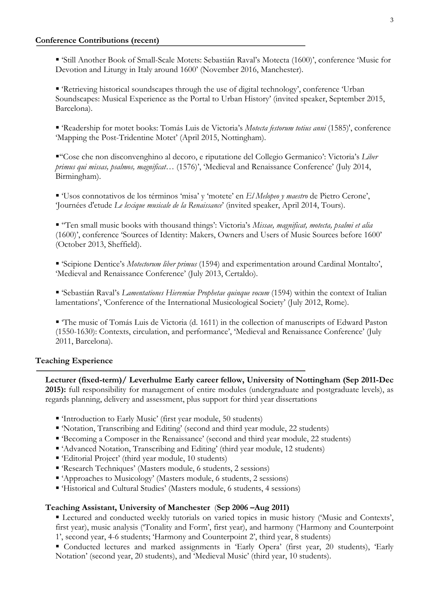! 'Still Another Book of Small-Scale Motets: Sebastián Raval's Motecta (1600)', conference 'Music for Devotion and Liturgy in Italy around 1600' (November 2016, Manchester).

! 'Retrieving historical soundscapes through the use of digital technology', conference 'Urban Soundscapes: Musical Experience as the Portal to Urban History' (invited speaker, September 2015, Barcelona).

! 'Readership for motet books: Tomás Luis de Victoria's *Motecta festorum totius anni* (1585)', conference 'Mapping the Post-Tridentine Motet' (April 2015, Nottingham).

!''Cose che non disconvenghino al decoro, e riputatione del Collegio Germanico': Victoria's *Liber primus qui missas, psalmos, magnificat…* (1576)', 'Medieval and Renaissance Conference' (July 2014, Birmingham).

! 'Usos connotativos de los términos 'misa' y 'motete' en *El Melopeo y maestro* de Pietro Cerone', 'Journées d'etude *Le lexique musicale de la Renaissance*' (invited speaker, April 2014, Tours).

! ''Ten small music books with thousand things': Victoria's *Missae, magnificat, motecta, psalmi et alia* (1600)', conference 'Sources of Identity: Makers, Owners and Users of Music Sources before 1600' (October 2013, Sheffield).

! 'Scipione Dentice's *Motectorum liber primus* (1594) and experimentation around Cardinal Montalto', 'Medieval and Renaissance Conference' (July 2013, Certaldo).

! 'Sebastián Raval's *Lamentationes Hieremiae Prophetae quinque vocum* (1594) within the context of Italian lamentations', 'Conference of the International Musicological Society' (July 2012, Rome).

! 'The music of Tomás Luis de Victoria (d. 1611) in the collection of manuscripts of Edward Paston (1550-1630): Contexts, circulation, and performance', 'Medieval and Renaissance Conference' (July 2011, Barcelona).

### **Teaching Experience**

**Lecturer (fixed-term)/ Leverhulme Early career fellow, University of Nottingham (Sep 2011-Dec 2015):** full responsibility for management of entire modules (undergraduate and postgraduate levels), as regards planning, delivery and assessment, plus support for third year dissertations

- ! 'Introduction to Early Music' (first year module, 50 students)
- ! 'Notation, Transcribing and Editing' (second and third year module, 22 students)
- ! 'Becoming a Composer in the Renaissance' (second and third year module, 22 students)
- ! 'Advanced Notation, Transcribing and Editing' (third year module, 12 students)
- ! 'Editorial Project' (third year module, 10 students)
- ! 'Research Techniques' (Masters module, 6 students, 2 sessions)
- ! 'Approaches to Musicology' (Masters module, 6 students, 2 sessions)
- ! 'Historical and Cultural Studies' (Masters module, 6 students, 4 sessions)

## **Teaching Assistant, University of Manchester** (**Sep 2006 –Aug 2011)**

! Lectured and conducted weekly tutorials on varied topics in music history ('Music and Contexts', first year), music analysis ('Tonality and Form', first year), and harmony ('Harmony and Counterpoint 1', second year, 4-6 students; 'Harmony and Counterpoint 2', third year, 8 students)

! Conducted lectures and marked assignments in 'Early Opera' (first year, 20 students), 'Early Notation' (second year, 20 students), and 'Medieval Music' (third year, 10 students).